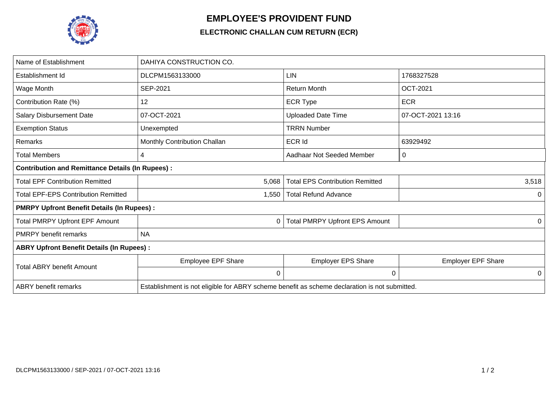

## **EMPLOYEE'S PROVIDENT FUND**

## **ELECTRONIC CHALLAN CUM RETURN (ECR)**

| Name of Establishment                                   | DAHIYA CONSTRUCTION CO.                                                                       |                                        |                           |  |  |  |
|---------------------------------------------------------|-----------------------------------------------------------------------------------------------|----------------------------------------|---------------------------|--|--|--|
| Establishment Id                                        | DLCPM1563133000                                                                               | <b>LIN</b>                             | 1768327528                |  |  |  |
| Wage Month                                              | SEP-2021                                                                                      | <b>Return Month</b>                    | <b>OCT-2021</b>           |  |  |  |
| Contribution Rate (%)                                   | 12                                                                                            | <b>ECR Type</b>                        | <b>ECR</b>                |  |  |  |
| <b>Salary Disbursement Date</b>                         | 07-OCT-2021                                                                                   | <b>Uploaded Date Time</b>              | 07-OCT-2021 13:16         |  |  |  |
| <b>Exemption Status</b>                                 | Unexempted                                                                                    | <b>TRRN Number</b>                     |                           |  |  |  |
| <b>Remarks</b>                                          | Monthly Contribution Challan                                                                  | <b>ECR Id</b>                          | 63929492                  |  |  |  |
| Total Members                                           | 4                                                                                             | Aadhaar Not Seeded Member              | 0                         |  |  |  |
| <b>Contribution and Remittance Details (In Rupees):</b> |                                                                                               |                                        |                           |  |  |  |
| <b>Total EPF Contribution Remitted</b>                  | 5,068                                                                                         | <b>Total EPS Contribution Remitted</b> | 3,518                     |  |  |  |
| <b>Total EPF-EPS Contribution Remitted</b>              | 1,550                                                                                         | <b>Total Refund Advance</b>            | 0                         |  |  |  |
| <b>PMRPY Upfront Benefit Details (In Rupees):</b>       |                                                                                               |                                        |                           |  |  |  |
| <b>Total PMRPY Upfront EPF Amount</b>                   | 0                                                                                             | <b>Total PMRPY Upfront EPS Amount</b>  | 0                         |  |  |  |
| <b>PMRPY</b> benefit remarks                            | <b>NA</b>                                                                                     |                                        |                           |  |  |  |
| <b>ABRY Upfront Benefit Details (In Rupees):</b>        |                                                                                               |                                        |                           |  |  |  |
| <b>Total ABRY benefit Amount</b>                        | Employee EPF Share                                                                            | <b>Employer EPS Share</b>              | <b>Employer EPF Share</b> |  |  |  |
|                                                         | 0                                                                                             | 0                                      | 0                         |  |  |  |
| <b>ABRY</b> benefit remarks                             | Establishment is not eligible for ABRY scheme benefit as scheme declaration is not submitted. |                                        |                           |  |  |  |